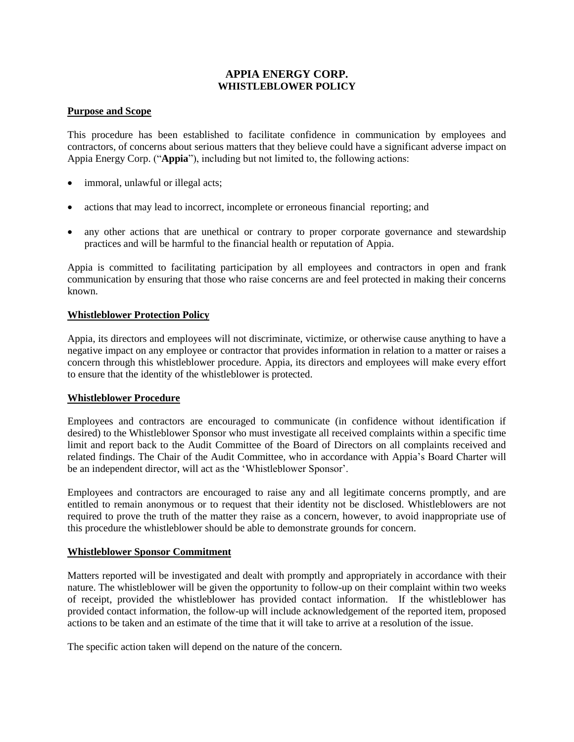# **APPIA ENERGY CORP. WHISTLEBLOWER POLICY**

## **Purpose and Scope**

This procedure has been established to facilitate confidence in communication by employees and contractors, of concerns about serious matters that they believe could have a significant adverse impact on Appia Energy Corp. ("**Appia**"), including but not limited to, the following actions:

- immoral, unlawful or illegal acts;
- actions that may lead to incorrect, incomplete or erroneous financial reporting; and
- any other actions that are unethical or contrary to proper corporate governance and stewardship practices and will be harmful to the financial health or reputation of Appia.

Appia is committed to facilitating participation by all employees and contractors in open and frank communication by ensuring that those who raise concerns are and feel protected in making their concerns known.

## **Whistleblower Protection Policy**

Appia, its directors and employees will not discriminate, victimize, or otherwise cause anything to have a negative impact on any employee or contractor that provides information in relation to a matter or raises a concern through this whistleblower procedure. Appia, its directors and employees will make every effort to ensure that the identity of the whistleblower is protected.

## **Whistleblower Procedure**

Employees and contractors are encouraged to communicate (in confidence without identification if desired) to the Whistleblower Sponsor who must investigate all received complaints within a specific time limit and report back to the Audit Committee of the Board of Directors on all complaints received and related findings. The Chair of the Audit Committee, who in accordance with Appia's Board Charter will be an independent director, will act as the 'Whistleblower Sponsor'.

Employees and contractors are encouraged to raise any and all legitimate concerns promptly, and are entitled to remain anonymous or to request that their identity not be disclosed. Whistleblowers are not required to prove the truth of the matter they raise as a concern, however, to avoid inappropriate use of this procedure the whistleblower should be able to demonstrate grounds for concern.

## **Whistleblower Sponsor Commitment**

Matters reported will be investigated and dealt with promptly and appropriately in accordance with their nature. The whistleblower will be given the opportunity to follow-up on their complaint within two weeks of receipt, provided the whistleblower has provided contact information. If the whistleblower has provided contact information, the follow-up will include acknowledgement of the reported item, proposed actions to be taken and an estimate of the time that it will take to arrive at a resolution of the issue.

The specific action taken will depend on the nature of the concern.